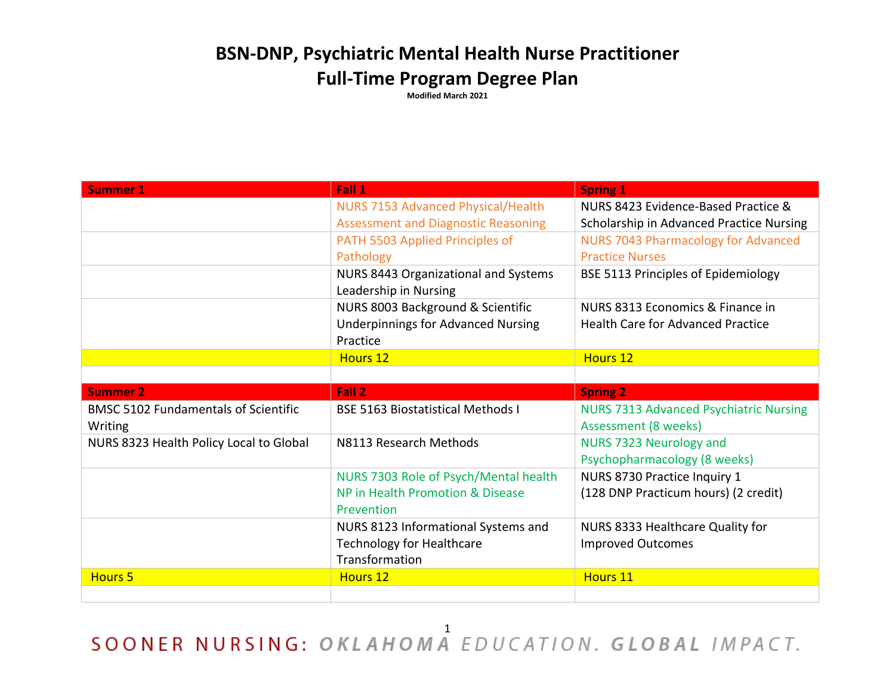## **BSN-DNP, Psychiatric Mental Health Nurse Practitioner Full-Time Program Degree Plan**

**Modified March 2021**

| <b>Summer 1</b>                                        | Fall 1                                                                                    | <b>Spring 1</b>                                                       |
|--------------------------------------------------------|-------------------------------------------------------------------------------------------|-----------------------------------------------------------------------|
|                                                        | NURS 7153 Advanced Physical/Health                                                        | NURS 8423 Evidence-Based Practice &                                   |
|                                                        | <b>Assessment and Diagnostic Reasoning</b>                                                | Scholarship in Advanced Practice Nursing                              |
|                                                        | PATH 5503 Applied Principles of                                                           | <b>NURS 7043 Pharmacology for Advanced</b>                            |
|                                                        | Pathology                                                                                 | <b>Practice Nurses</b>                                                |
|                                                        | NURS 8443 Organizational and Systems                                                      | <b>BSE 5113 Principles of Epidemiology</b>                            |
|                                                        | Leadership in Nursing                                                                     |                                                                       |
|                                                        | NURS 8003 Background & Scientific                                                         | NURS 8313 Economics & Finance in                                      |
|                                                        | <b>Underpinnings for Advanced Nursing</b>                                                 | <b>Health Care for Advanced Practice</b>                              |
|                                                        | Practice                                                                                  |                                                                       |
|                                                        | <b>Hours 12</b>                                                                           | Hours 12                                                              |
|                                                        |                                                                                           |                                                                       |
| <b>Summer 2</b>                                        | Fall 2                                                                                    | <b>Spring 2</b>                                                       |
| <b>BMSC 5102 Fundamentals of Scientific</b><br>Writing | <b>BSE 5163 Biostatistical Methods I</b>                                                  | <b>NURS 7313 Advanced Psychiatric Nursing</b><br>Assessment (8 weeks) |
| NURS 8323 Health Policy Local to Global                | N8113 Research Methods                                                                    | NURS 7323 Neurology and<br>Psychopharmacology (8 weeks)               |
|                                                        | NURS 7303 Role of Psych/Mental health<br>NP in Health Promotion & Disease<br>Prevention   | NURS 8730 Practice Inquiry 1<br>(128 DNP Practicum hours) (2 credit)  |
|                                                        | NURS 8123 Informational Systems and<br><b>Technology for Healthcare</b><br>Transformation | NURS 8333 Healthcare Quality for<br><b>Improved Outcomes</b>          |
| <b>Hours 5</b>                                         | <b>Hours 12</b>                                                                           | Hours 11                                                              |
|                                                        |                                                                                           |                                                                       |

SOONER NURSING: OKLAHOMA EDUCATION. GLOBAL IMPACT.